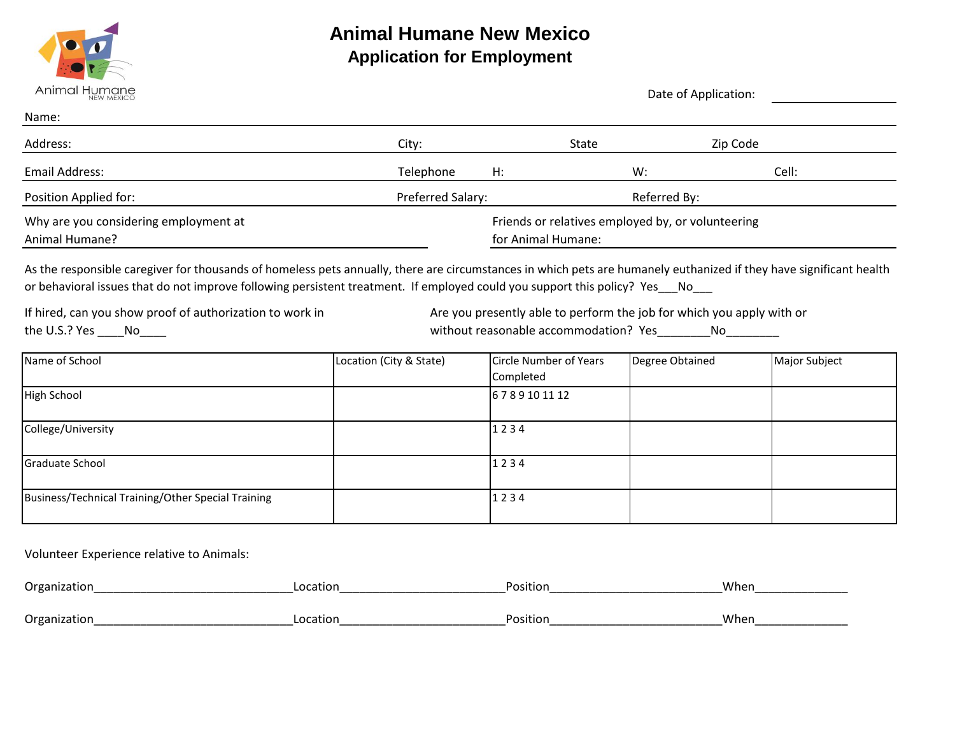

# **Animal Humane New Mexico Application for Employment**

| Animal Humane<br><b>NEW MEXICO</b>                                                                                                                                                                                                                                                                | Date of Application: |                                                                         |       |              |       |
|---------------------------------------------------------------------------------------------------------------------------------------------------------------------------------------------------------------------------------------------------------------------------------------------------|----------------------|-------------------------------------------------------------------------|-------|--------------|-------|
| Name:                                                                                                                                                                                                                                                                                             |                      |                                                                         |       |              |       |
| Address:                                                                                                                                                                                                                                                                                          | City:                |                                                                         | State | Zip Code     |       |
| Email Address:                                                                                                                                                                                                                                                                                    | Telephone            | H:                                                                      | W:    |              | Cell: |
| Position Applied for:                                                                                                                                                                                                                                                                             | Preferred Salary:    |                                                                         |       | Referred By: |       |
| Why are you considering employment at<br>Animal Humane?                                                                                                                                                                                                                                           |                      | Friends or relatives employed by, or volunteering<br>for Animal Humane: |       |              |       |
| As the responsible caregiver for thousands of homeless pets annually, there are circumstances in which pets are humanely euthanized if they have significant health<br>or behavioral issues that do not improve following persistent treatment. If employed could you support this policy? Yes No |                      |                                                                         |       |              |       |

If hired, can you show proof of authorization to work in the U.S.? Yes \_\_\_\_\_No\_\_\_\_\_

Are you presently able to perform the job for which you apply with or without reasonable accommodation? Yes\_\_\_\_\_\_\_\_No\_\_\_\_\_\_\_\_\_

| Name of School                                     | Location (City & State) | Circle Number of Years | Degree Obtained | Major Subject |
|----------------------------------------------------|-------------------------|------------------------|-----------------|---------------|
|                                                    |                         | Completed              |                 |               |
| High School                                        |                         | 6789101112             |                 |               |
|                                                    |                         |                        |                 |               |
| College/University                                 |                         | 1234                   |                 |               |
| Graduate School                                    |                         | 1234                   |                 |               |
| Business/Technical Training/Other Special Training |                         | 1234                   |                 |               |

Volunteer Experience relative to Animals:

| Organization           | Location | Positio.             | When |
|------------------------|----------|----------------------|------|
|                        |          |                      |      |
| Organizat.<br>iizdtiui | Location | Positio <sub>1</sub> | When |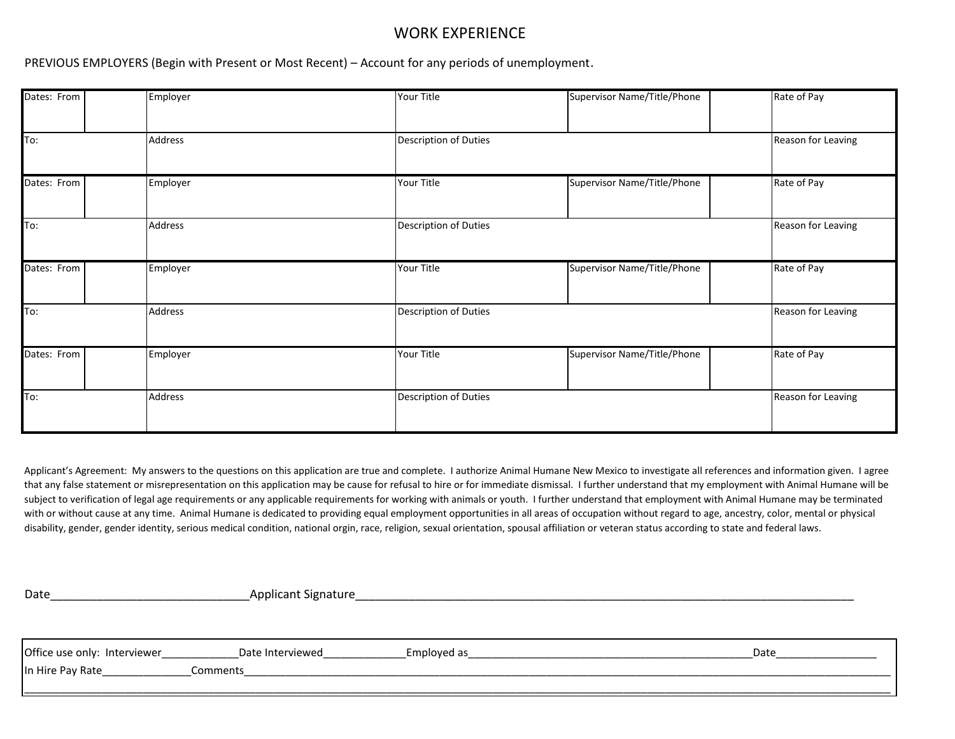# WORK EXPERIENCE

PREVIOUS EMPLOYERS (Begin with Present or Most Recent) – Account for any periods of unemployment.

| Dates: From | Employer | Your Title            | Supervisor Name/Title/Phone | Rate of Pay        |
|-------------|----------|-----------------------|-----------------------------|--------------------|
| To:         | Address  | Description of Duties |                             | Reason for Leaving |
| Dates: From | Employer | Your Title            | Supervisor Name/Title/Phone | Rate of Pay        |
| To:         | Address  | Description of Duties |                             | Reason for Leaving |
| Dates: From | Employer | Your Title            | Supervisor Name/Title/Phone | Rate of Pay        |
| To:         | Address  | Description of Duties |                             | Reason for Leaving |
| Dates: From | Employer | Your Title            | Supervisor Name/Title/Phone | Rate of Pay        |
| To:         | Address  | Description of Duties |                             | Reason for Leaving |

Applicant's Agreement: My answers to the questions on this application are true and complete. I authorize Animal Humane New Mexico to investigate all references and information given. I agree that any false statement or misrepresentation on this application may be cause for refusal to hire or for immediate dismissal. I further understand that my employment with Animal Humane will be subject to verification of legal age requirements or any applicable requirements for working with animals or youth. I further understand that employment with Animal Humane may be terminated with or without cause at any time. Animal Humane is dedicated to providing equal employment opportunities in all areas of occupation without regard to age, ancestry, color, mental or physical disability, gender, gender identity, serious medical condition, national orgin, race, religion, sexual orientation, spousal affiliation or veteran status according to state and federal laws.

Date\_\_\_\_\_\_\_\_\_\_\_\_\_\_\_\_\_\_\_\_\_\_\_\_\_\_\_\_\_\_Applicant Signature\_\_\_\_\_\_\_\_\_\_\_\_\_\_\_\_\_\_\_\_\_\_\_\_\_\_\_\_\_\_\_\_\_\_\_\_\_\_\_\_\_\_\_\_\_\_\_\_\_\_\_\_\_\_\_\_\_\_\_\_\_\_\_\_\_\_\_\_\_\_\_\_\_\_\_

Office use only: Interviewer\_\_\_\_\_\_\_\_\_\_\_\_\_Date Interviewed\_\_\_\_\_\_\_\_\_\_\_\_\_\_Employed as\_\_\_\_\_\_\_\_\_\_\_\_\_\_\_\_\_\_\_\_\_\_\_\_\_\_\_\_\_\_\_\_\_\_\_\_\_\_\_\_\_\_\_\_\_\_\_\_Date\_\_\_\_\_\_\_\_\_\_\_\_\_\_\_\_\_ In Hire Pay Rate\_\_\_\_\_\_\_\_\_\_\_\_\_\_\_Comments\_\_\_\_\_\_\_\_\_\_\_\_\_\_\_\_\_\_\_\_\_\_\_\_\_\_\_\_\_\_\_\_\_\_\_\_\_\_\_\_\_\_\_\_\_\_\_\_\_\_\_\_\_\_\_\_\_\_\_\_\_\_\_\_\_\_\_\_\_\_\_\_\_\_\_\_\_\_\_\_\_\_\_\_\_\_\_\_\_\_\_\_\_\_\_\_\_\_\_\_\_\_\_\_\_\_\_\_\_ \_\_\_\_\_\_\_\_\_\_\_\_\_\_\_\_\_\_\_\_\_\_\_\_\_\_\_\_\_\_\_\_\_\_\_\_\_\_\_\_\_\_\_\_\_\_\_\_\_\_\_\_\_\_\_\_\_\_\_\_\_\_\_\_\_\_\_\_\_\_\_\_\_\_\_\_\_\_\_\_\_\_\_\_\_\_\_\_\_\_\_\_\_\_\_\_\_\_\_\_\_\_\_\_\_\_\_\_\_\_\_\_\_\_\_\_\_\_\_\_\_\_\_\_\_\_\_\_\_\_\_\_\_\_\_\_\_\_\_\_\_\_\_\_\_\_